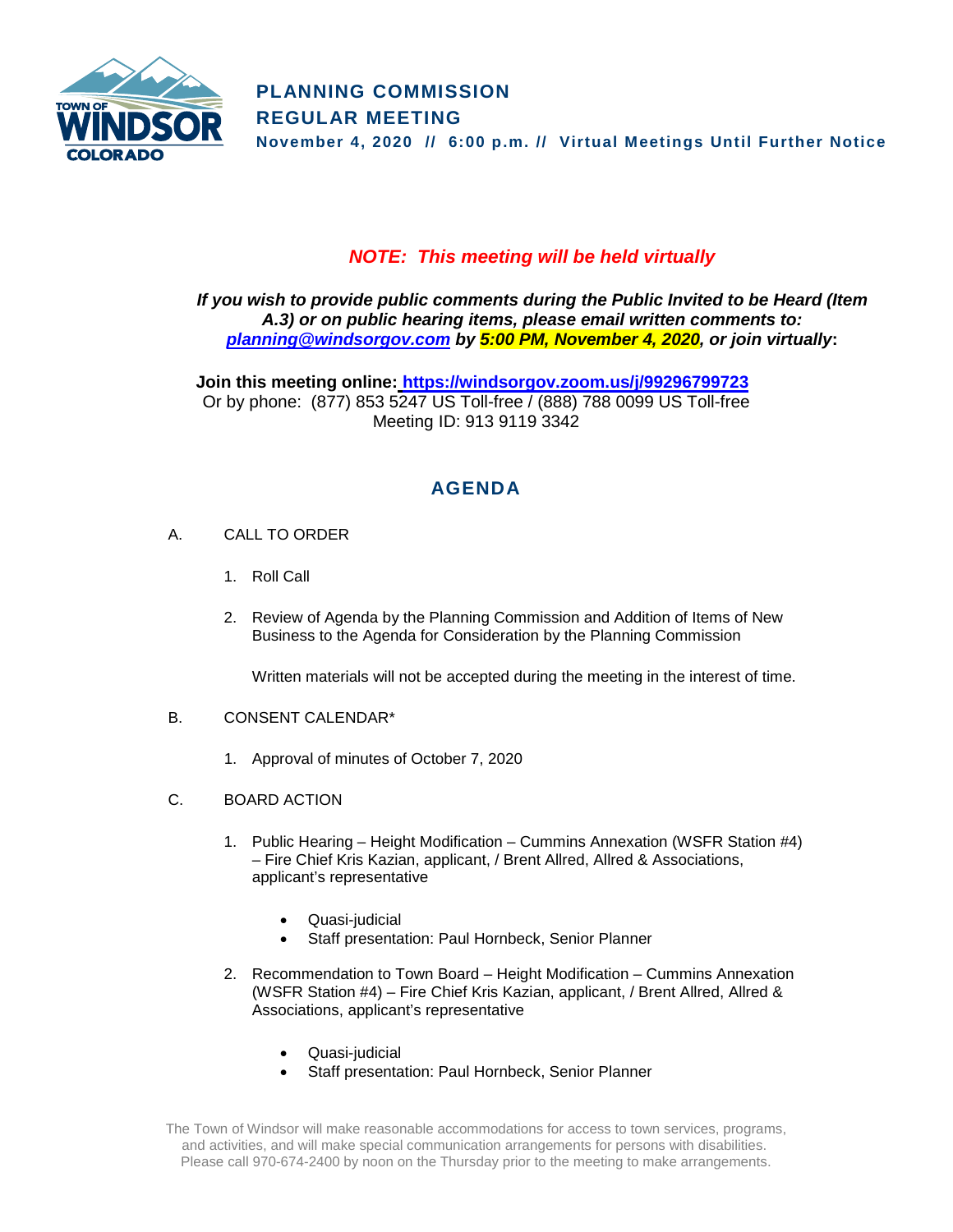

## *NOTE: This meeting will be held virtually*

*If you wish to provide public comments during the Public Invited to be Heard (Item A.3) or on public hearing items, please email written comments to: [planning@windsorgov.com](mailto:planning@windsorgov.com) by 5:00 PM, November 4, 2020, or join virtually***:**

**Join this meeting online: <https://windsorgov.zoom.us/j/99296799723>** Or by phone: (877) 853 5247 US Toll-free / (888) 788 0099 US Toll-free Meeting ID: 913 9119 3342

# **AGENDA**

- A. CALL TO ORDER
	- 1. Roll Call
	- 2. Review of Agenda by the Planning Commission and Addition of Items of New Business to the Agenda for Consideration by the Planning Commission

Written materials will not be accepted during the meeting in the interest of time.

### B. CONSENT CALENDAR\*

- 1. Approval of minutes of October 7, 2020
- C. BOARD ACTION
	- 1. Public Hearing Height Modification Cummins Annexation (WSFR Station #4) – Fire Chief Kris Kazian, applicant, / Brent Allred, Allred & Associations, applicant's representative
		- Quasi-judicial
		- Staff presentation: Paul Hornbeck, Senior Planner
	- 2. Recommendation to Town Board Height Modification Cummins Annexation (WSFR Station #4) – Fire Chief Kris Kazian, applicant, / Brent Allred, Allred & Associations, applicant's representative
		- Quasi-judicial
		- Staff presentation: Paul Hornbeck, Senior Planner

The Town of Windsor will make reasonable accommodations for access to town services, programs, and activities, and will make special communication arrangements for persons with disabilities. Please call 970-674-2400 by noon on the Thursday prior to the meeting to make arrangements.